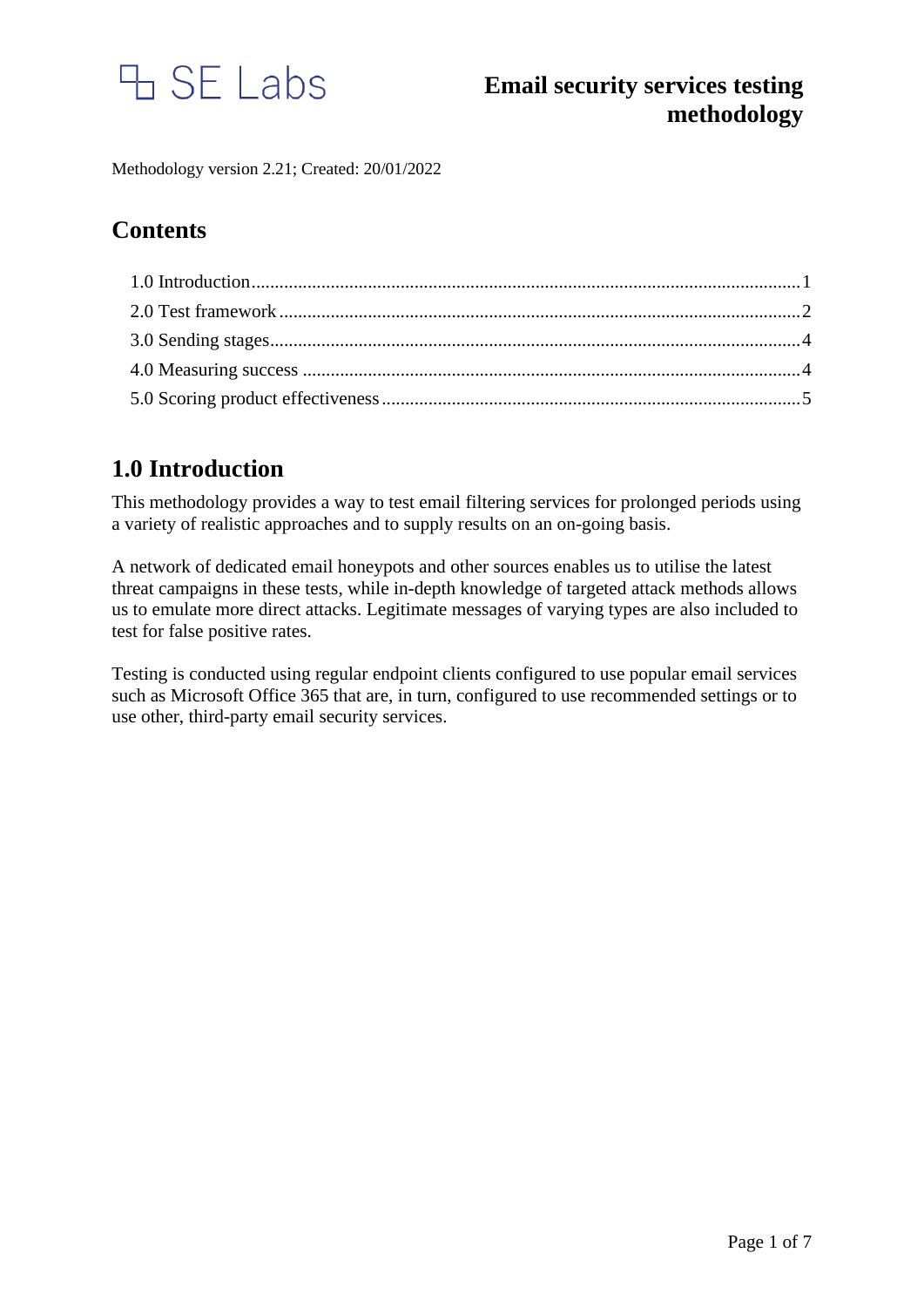

Methodology version 2.21; Created: 20/01/2022

# **Contents**

# <span id="page-0-0"></span>**1.0 Introduction**

This methodology provides a way to test email filtering services for prolonged periods using a variety of realistic approaches and to supply results on an on-going basis.

A network of dedicated email honeypots and other sources enables us to utilise the latest threat campaigns in these tests, while in-depth knowledge of targeted attack methods allows us to emulate more direct attacks. Legitimate messages of varying types are also included to test for false positive rates.

Testing is conducted using regular endpoint clients configured to use popular email services such as Microsoft Office 365 that are, in turn, configured to use recommended settings or to use other, third-party email security services.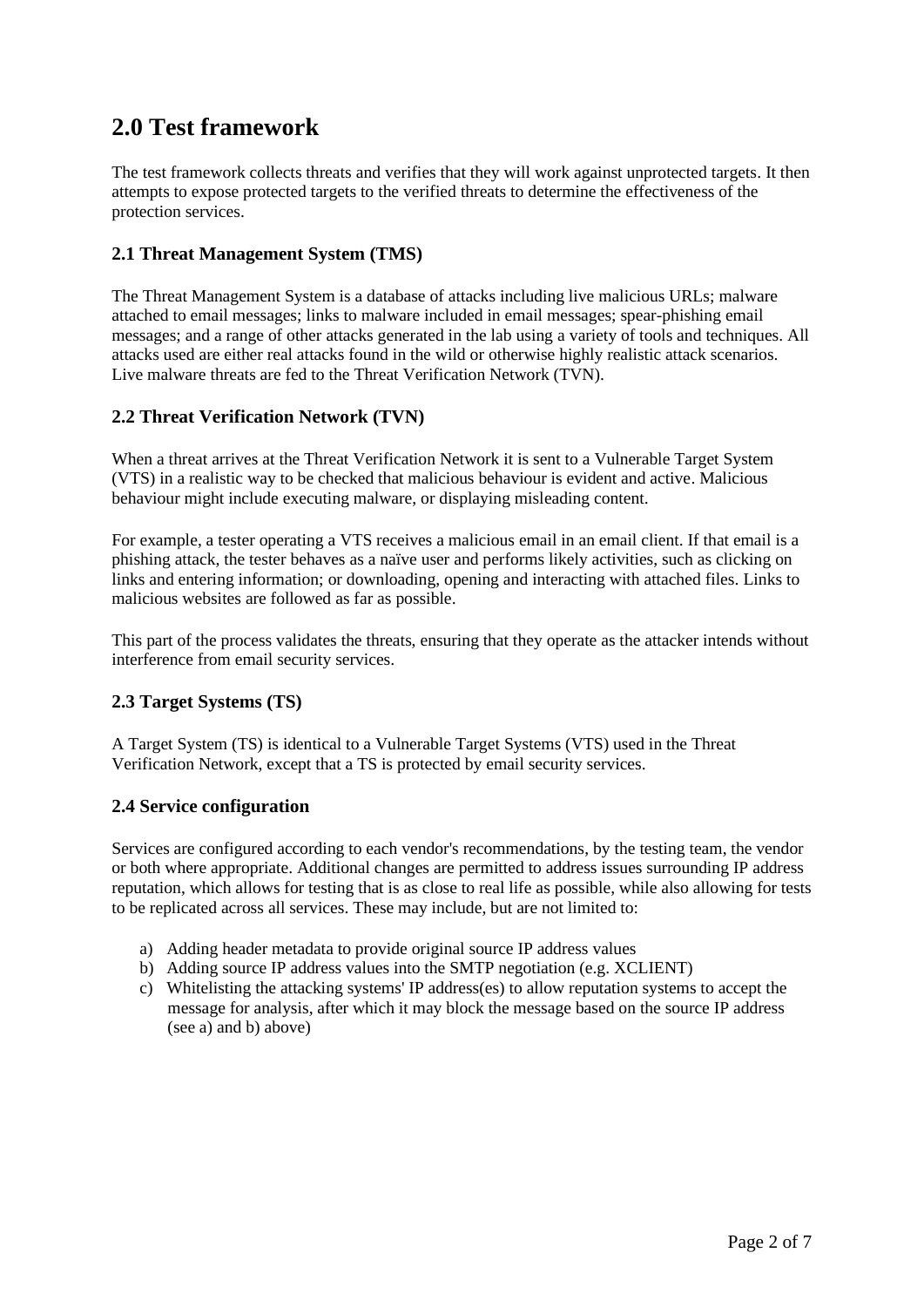# <span id="page-1-0"></span>**2.0 Test framework**

The test framework collects threats and verifies that they will work against unprotected targets. It then attempts to expose protected targets to the verified threats to determine the effectiveness of the protection services.

## **2.1 Threat Management System (TMS)**

The Threat Management System is a database of attacks including live malicious URLs; malware attached to email messages; links to malware included in email messages; spear-phishing email messages; and a range of other attacks generated in the lab using a variety of tools and techniques. All attacks used are either real attacks found in the wild or otherwise highly realistic attack scenarios. Live malware threats are fed to the Threat Verification Network (TVN).

## **2.2 Threat Verification Network (TVN)**

When a threat arrives at the Threat Verification Network it is sent to a Vulnerable Target System (VTS) in a realistic way to be checked that malicious behaviour is evident and active. Malicious behaviour might include executing malware, or displaying misleading content.

For example, a tester operating a VTS receives a malicious email in an email client. If that email is a phishing attack, the tester behaves as a naïve user and performs likely activities, such as clicking on links and entering information; or downloading, opening and interacting with attached files. Links to malicious websites are followed as far as possible.

This part of the process validates the threats, ensuring that they operate as the attacker intends without interference from email security services.

## **2.3 Target Systems (TS)**

A Target System (TS) is identical to a Vulnerable Target Systems (VTS) used in the Threat Verification Network, except that a TS is protected by email security services.

### **2.4 Service configuration**

Services are configured according to each vendor's recommendations, by the testing team, the vendor or both where appropriate. Additional changes are permitted to address issues surrounding IP address reputation, which allows for testing that is as close to real life as possible, while also allowing for tests to be replicated across all services. These may include, but are not limited to:

- a) Adding header metadata to provide original source IP address values
- b) Adding source IP address values into the SMTP negotiation (e.g. XCLIENT)
- c) Whitelisting the attacking systems' IP address(es) to allow reputation systems to accept the message for analysis, after which it may block the message based on the source IP address (see a) and b) above)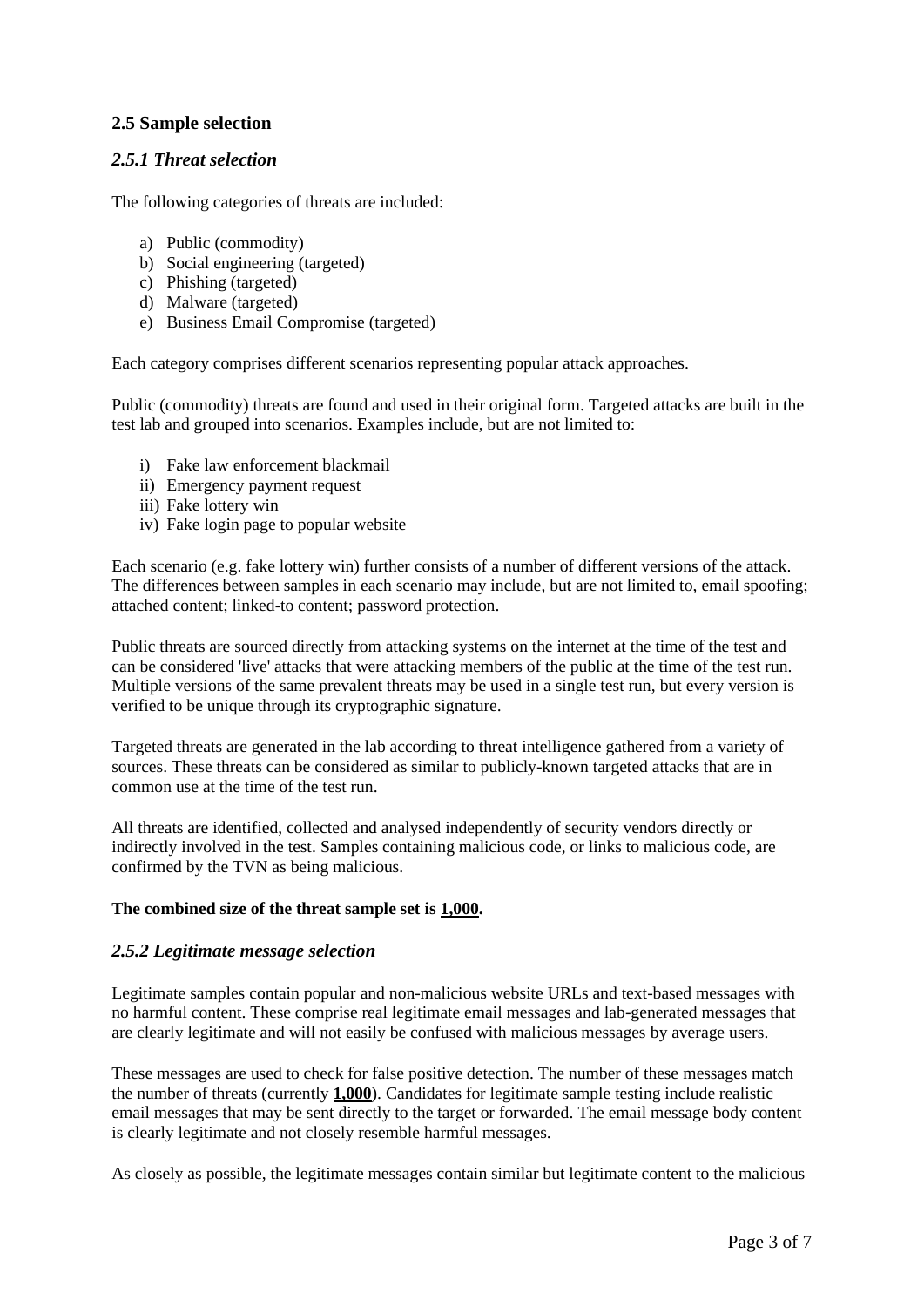## **2.5 Sample selection**

## *2.5.1 Threat selection*

The following categories of threats are included:

- a) Public (commodity)
- b) Social engineering (targeted)
- c) Phishing (targeted)
- d) Malware (targeted)
- e) Business Email Compromise (targeted)

Each category comprises different scenarios representing popular attack approaches.

Public (commodity) threats are found and used in their original form. Targeted attacks are built in the test lab and grouped into scenarios. Examples include, but are not limited to:

- i) Fake law enforcement blackmail
- ii) Emergency payment request
- iii) Fake lottery win
- iv) Fake login page to popular website

Each scenario (e.g. fake lottery win) further consists of a number of different versions of the attack. The differences between samples in each scenario may include, but are not limited to, email spoofing; attached content; linked-to content; password protection.

Public threats are sourced directly from attacking systems on the internet at the time of the test and can be considered 'live' attacks that were attacking members of the public at the time of the test run. Multiple versions of the same prevalent threats may be used in a single test run, but every version is verified to be unique through its cryptographic signature.

Targeted threats are generated in the lab according to threat intelligence gathered from a variety of sources. These threats can be considered as similar to publicly-known targeted attacks that are in common use at the time of the test run.

All threats are identified, collected and analysed independently of security vendors directly or indirectly involved in the test. Samples containing malicious code, or links to malicious code, are confirmed by the TVN as being malicious.

#### **The combined size of the threat sample set is 1,000.**

#### *2.5.2 Legitimate message selection*

Legitimate samples contain popular and non-malicious website URLs and text-based messages with no harmful content. These comprise real legitimate email messages and lab-generated messages that are clearly legitimate and will not easily be confused with malicious messages by average users.

These messages are used to check for false positive detection. The number of these messages match the number of threats (currently **1,000**). Candidates for legitimate sample testing include realistic email messages that may be sent directly to the target or forwarded. The email message body content is clearly legitimate and not closely resemble harmful messages.

As closely as possible, the legitimate messages contain similar but legitimate content to the malicious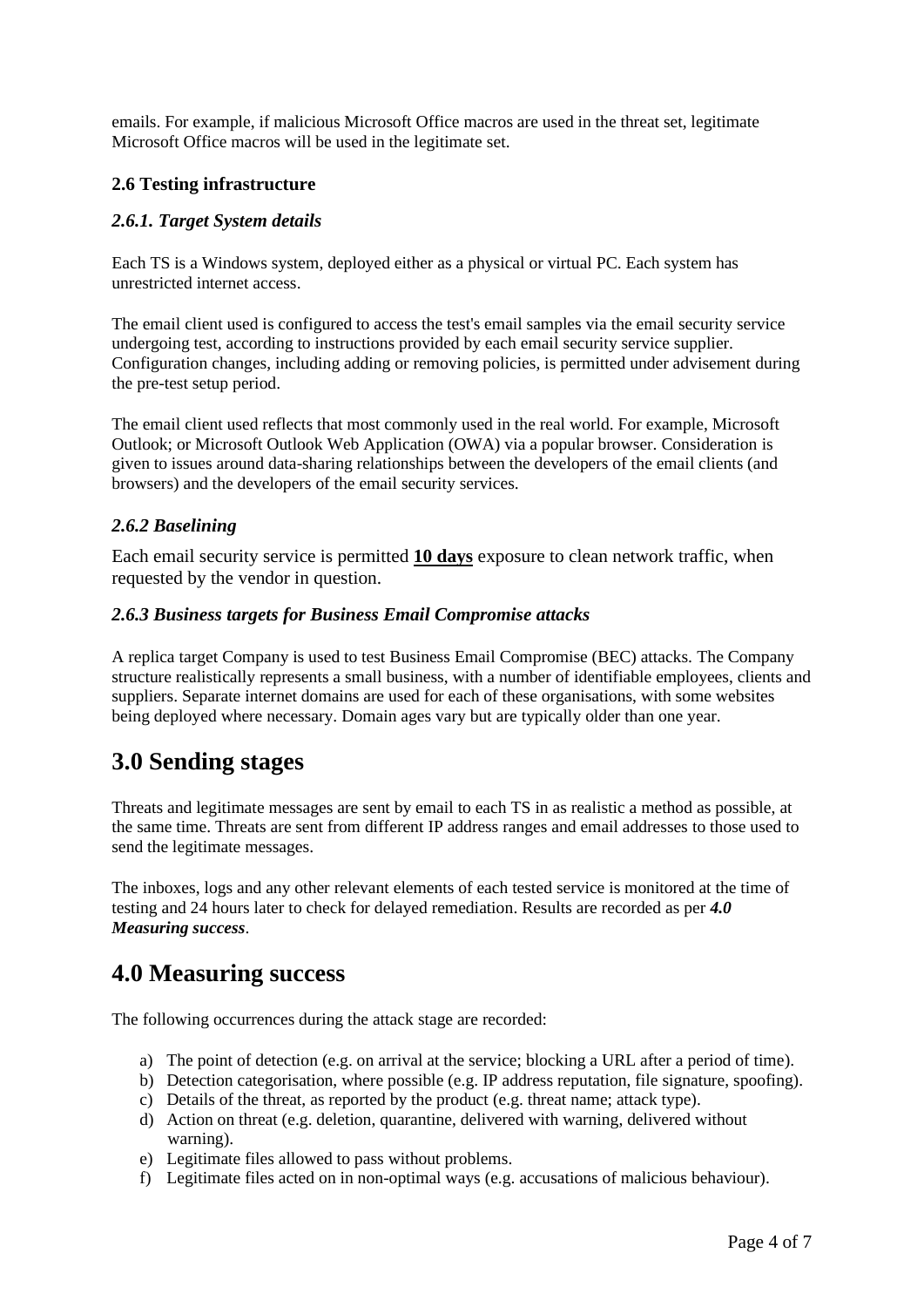emails. For example, if malicious Microsoft Office macros are used in the threat set, legitimate Microsoft Office macros will be used in the legitimate set.

## **2.6 Testing infrastructure**

## *2.6.1. Target System details*

Each TS is a Windows system, deployed either as a physical or virtual PC. Each system has unrestricted internet access.

The email client used is configured to access the test's email samples via the email security service undergoing test, according to instructions provided by each email security service supplier. Configuration changes, including adding or removing policies, is permitted under advisement during the pre-test setup period.

The email client used reflects that most commonly used in the real world. For example, Microsoft Outlook; or Microsoft Outlook Web Application (OWA) via a popular browser. Consideration is given to issues around data-sharing relationships between the developers of the email clients (and browsers) and the developers of the email security services.

## *2.6.2 Baselining*

Each email security service is permitted **10 days** exposure to clean network traffic, when requested by the vendor in question.

### *2.6.3 Business targets for Business Email Compromise attacks*

A replica target Company is used to test Business Email Compromise (BEC) attacks. The Company structure realistically represents a small business, with a number of identifiable employees, clients and suppliers. Separate internet domains are used for each of these organisations, with some websites being deployed where necessary. Domain ages vary but are typically older than one year.

## <span id="page-3-0"></span>**3.0 Sending stages**

Threats and legitimate messages are sent by email to each TS in as realistic a method as possible, at the same time. Threats are sent from different IP address ranges and email addresses to those used to send the legitimate messages.

The inboxes, logs and any other relevant elements of each tested service is monitored at the time of testing and 24 hours later to check for delayed remediation. Results are recorded as per *4.0 Measuring success*.

## <span id="page-3-1"></span>**4.0 Measuring success**

The following occurrences during the attack stage are recorded:

- a) The point of detection (e.g. on arrival at the service; blocking a URL after a period of time).
- b) Detection categorisation, where possible (e.g. IP address reputation, file signature, spoofing).
- c) Details of the threat, as reported by the product (e.g. threat name; attack type).
- d) Action on threat (e.g. deletion, quarantine, delivered with warning, delivered without warning).
- e) Legitimate files allowed to pass without problems.
- f) Legitimate files acted on in non-optimal ways (e.g. accusations of malicious behaviour).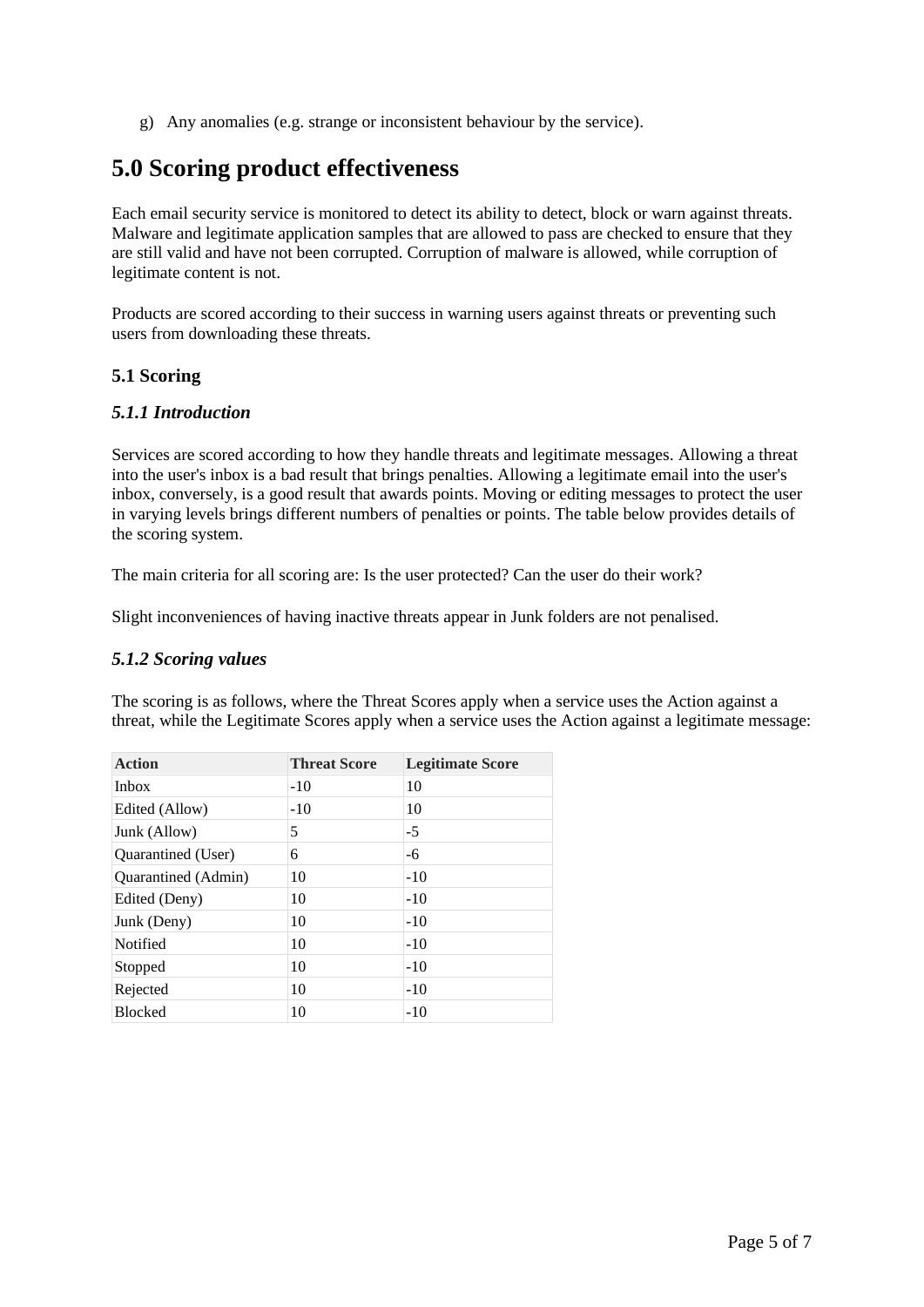g) Any anomalies (e.g. strange or inconsistent behaviour by the service).

## <span id="page-4-0"></span>**5.0 Scoring product effectiveness**

Each email security service is monitored to detect its ability to detect, block or warn against threats. Malware and legitimate application samples that are allowed to pass are checked to ensure that they are still valid and have not been corrupted. Corruption of malware is allowed, while corruption of legitimate content is not.

Products are scored according to their success in warning users against threats or preventing such users from downloading these threats.

### **5.1 Scoring**

### *5.1.1 Introduction*

Services are scored according to how they handle threats and legitimate messages. Allowing a threat into the user's inbox is a bad result that brings penalties. Allowing a legitimate email into the user's inbox, conversely, is a good result that awards points. Moving or editing messages to protect the user in varying levels brings different numbers of penalties or points. The table below provides details of the scoring system.

The main criteria for all scoring are: Is the user protected? Can the user do their work?

Slight inconveniences of having inactive threats appear in Junk folders are not penalised.

### *5.1.2 Scoring values*

The scoring is as follows, where the Threat Scores apply when a service uses the Action against a threat, while the Legitimate Scores apply when a service uses the Action against a legitimate message:

| <b>Action</b>       | <b>Threat Score</b> | <b>Legitimate Score</b> |
|---------------------|---------------------|-------------------------|
| <b>Inbox</b>        | $-10$               | 10                      |
| Edited (Allow)      | $-10$               | 10                      |
| Junk (Allow)        | 5                   | $-5$                    |
| Quarantined (User)  | 6                   | -6                      |
| Quarantined (Admin) | 10                  | $-10$                   |
| Edited (Deny)       | 10                  | $-10$                   |
| Junk (Deny)         | 10                  | $-10$                   |
| Notified            | 10                  | $-10$                   |
| Stopped             | 10                  | $-10$                   |
| Rejected            | 10                  | $-10$                   |
| <b>Blocked</b>      | 10                  | $-10$                   |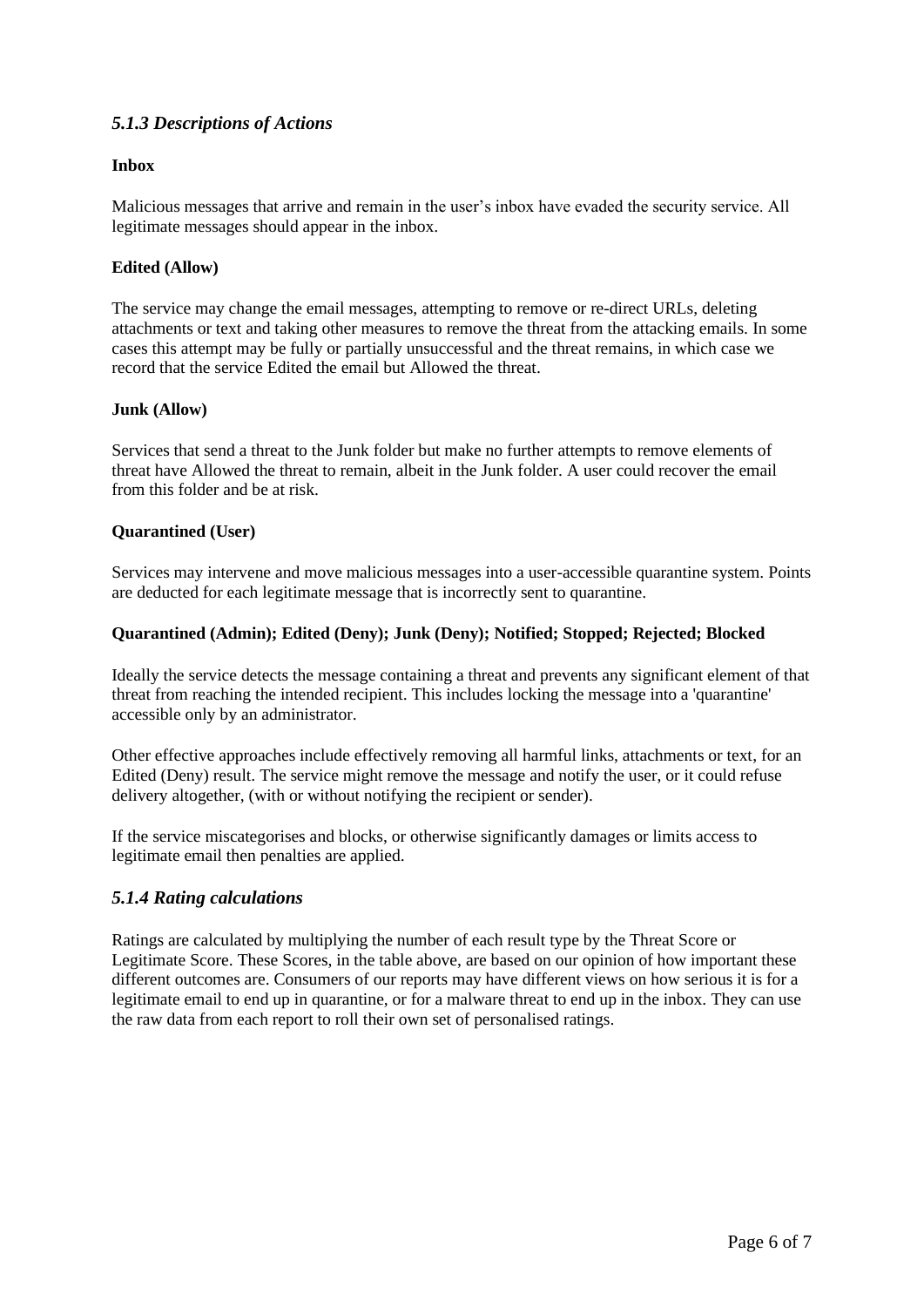## *5.1.3 Descriptions of Actions*

### **Inbox**

Malicious messages that arrive and remain in the user's inbox have evaded the security service. All legitimate messages should appear in the inbox.

### **Edited (Allow)**

The service may change the email messages, attempting to remove or re-direct URLs, deleting attachments or text and taking other measures to remove the threat from the attacking emails. In some cases this attempt may be fully or partially unsuccessful and the threat remains, in which case we record that the service Edited the email but Allowed the threat.

#### **Junk (Allow)**

Services that send a threat to the Junk folder but make no further attempts to remove elements of threat have Allowed the threat to remain, albeit in the Junk folder. A user could recover the email from this folder and be at risk.

### **Quarantined (User)**

Services may intervene and move malicious messages into a user-accessible quarantine system. Points are deducted for each legitimate message that is incorrectly sent to quarantine.

#### **Quarantined (Admin); Edited (Deny); Junk (Deny); Notified; Stopped; Rejected; Blocked**

Ideally the service detects the message containing a threat and prevents any significant element of that threat from reaching the intended recipient. This includes locking the message into a 'quarantine' accessible only by an administrator.

Other effective approaches include effectively removing all harmful links, attachments or text, for an Edited (Deny) result. The service might remove the message and notify the user, or it could refuse delivery altogether, (with or without notifying the recipient or sender).

If the service miscategorises and blocks, or otherwise significantly damages or limits access to legitimate email then penalties are applied.

### *5.1.4 Rating calculations*

Ratings are calculated by multiplying the number of each result type by the Threat Score or Legitimate Score. These Scores, in the table above, are based on our opinion of how important these different outcomes are. Consumers of our reports may have different views on how serious it is for a legitimate email to end up in quarantine, or for a malware threat to end up in the inbox. They can use the raw data from each report to roll their own set of personalised ratings.